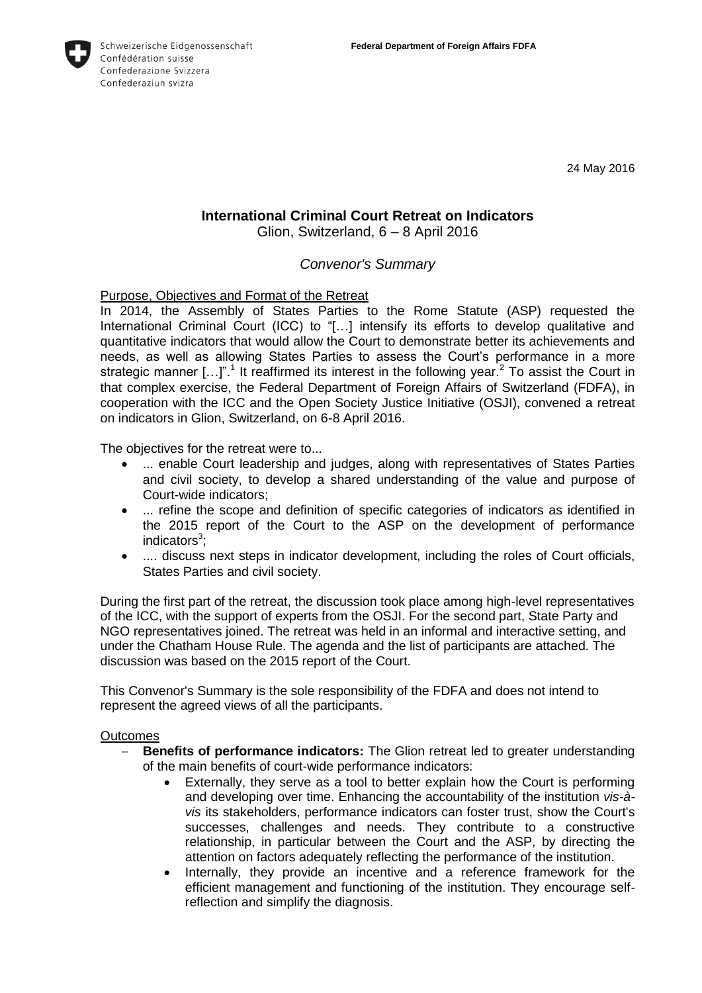

24 May 2016

# **International Criminal Court Retreat on Indicators**

Glion, Switzerland, 6 – 8 April 2016

# *Convenor's Summary*

Purpose, Objectives and Format of the Retreat

In 2014, the Assembly of States Parties to the Rome Statute (ASP) requested the International Criminal Court (ICC) to "[…] intensify its efforts to develop qualitative and quantitative indicators that would allow the Court to demonstrate better its achievements and needs, as well as allowing States Parties to assess the Court's performance in a more strategic manner  $[...]$ ".<sup>1</sup> It reaffirmed its interest in the following year.<sup>2</sup> To assist the Court in that complex exercise, the Federal Department of Foreign Affairs of Switzerland (FDFA), in cooperation with the ICC and the Open Society Justice Initiative (OSJI), convened a retreat on indicators in Glion, Switzerland, on 6-8 April 2016.

The objectives for the retreat were to...

- ... enable Court leadership and judges, along with representatives of States Parties and civil society, to develop a shared understanding of the value and purpose of Court-wide indicators;
- ... refine the scope and definition of specific categories of indicators as identified in the 2015 report of the Court to the ASP on the development of performance indicators<sup>3</sup>;
- .... discuss next steps in indicator development, including the roles of Court officials, States Parties and civil society.

During the first part of the retreat, the discussion took place among high-level representatives of the ICC, with the support of experts from the OSJI. For the second part, State Party and NGO representatives joined. The retreat was held in an informal and interactive setting, and under the Chatham House Rule. The agenda and the list of participants are attached. The discussion was based on the 2015 report of the Court.

This Convenor's Summary is the sole responsibility of the FDFA and does not intend to represent the agreed views of all the participants.

## **Outcomes**

- **Benefits of performance indicators:** The Glion retreat led to greater understanding of the main benefits of court-wide performance indicators:
	- Externally, they serve as a tool to better explain how the Court is performing and developing over time. Enhancing the accountability of the institution *vis-àvis* its stakeholders, performance indicators can foster trust, show the Court's successes, challenges and needs. They contribute to a constructive relationship, in particular between the Court and the ASP, by directing the attention on factors adequately reflecting the performance of the institution.
	- Internally, they provide an incentive and a reference framework for the efficient management and functioning of the institution. They encourage selfreflection and simplify the diagnosis.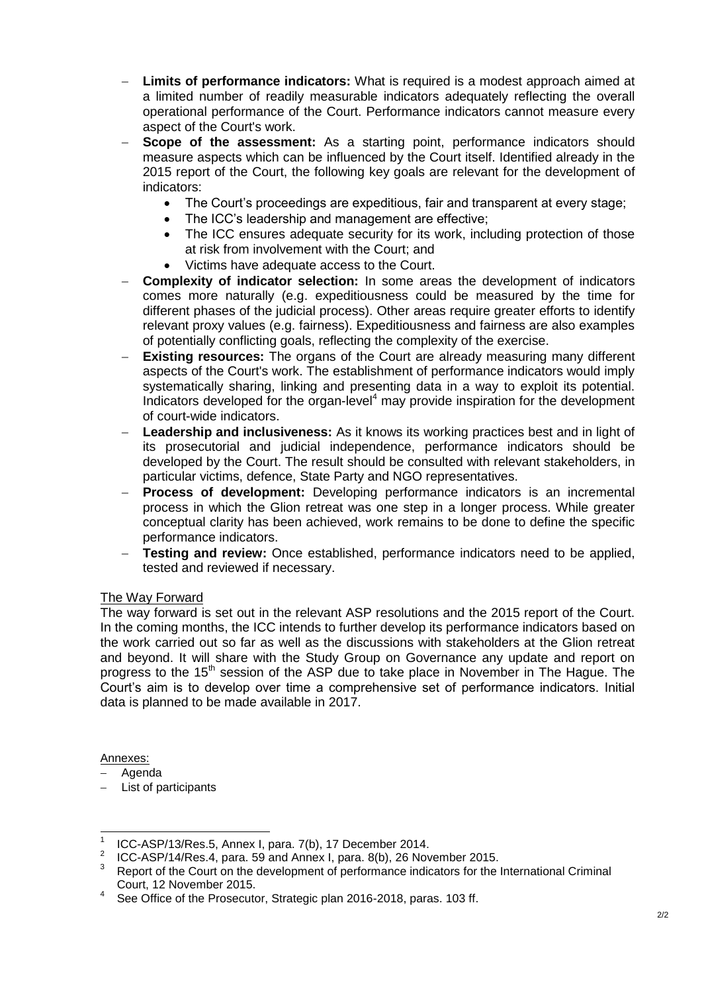- **Limits of performance indicators:** What is required is a modest approach aimed at a limited number of readily measurable indicators adequately reflecting the overall operational performance of the Court. Performance indicators cannot measure every aspect of the Court's work.
- **Scope of the assessment:** As a starting point, performance indicators should measure aspects which can be influenced by the Court itself. Identified already in the 2015 report of the Court, the following key goals are relevant for the development of indicators:
	- The Court's proceedings are expeditious, fair and transparent at every stage;
	- The ICC's leadership and management are effective;
	- The ICC ensures adequate security for its work, including protection of those at risk from involvement with the Court; and
	- Victims have adequate access to the Court.
- **Complexity of indicator selection:** In some areas the development of indicators comes more naturally (e.g. expeditiousness could be measured by the time for different phases of the judicial process). Other areas require greater efforts to identify relevant proxy values (e.g. fairness). Expeditiousness and fairness are also examples of potentially conflicting goals, reflecting the complexity of the exercise.
- **Existing resources:** The organs of the Court are already measuring many different aspects of the Court's work. The establishment of performance indicators would imply systematically sharing, linking and presenting data in a way to exploit its potential. Indicators developed for the organ-level<sup>4</sup> may provide inspiration for the development of court-wide indicators.
- **Leadership and inclusiveness:** As it knows its working practices best and in light of its prosecutorial and judicial independence, performance indicators should be developed by the Court. The result should be consulted with relevant stakeholders, in particular victims, defence, State Party and NGO representatives.
- **Process of development:** Developing performance indicators is an incremental process in which the Glion retreat was one step in a longer process. While greater conceptual clarity has been achieved, work remains to be done to define the specific performance indicators.
- **Testing and review:** Once established, performance indicators need to be applied, tested and reviewed if necessary.

## The Way Forward

The way forward is set out in the relevant ASP resolutions and the 2015 report of the Court. In the coming months, the ICC intends to further develop its performance indicators based on the work carried out so far as well as the discussions with stakeholders at the Glion retreat and beyond. It will share with the Study Group on Governance any update and report on progress to the 15<sup>th</sup> session of the ASP due to take place in November in The Hague. The Court's aim is to develop over time a comprehensive set of performance indicators. Initial data is planned to be made available in 2017.

Annexes:

- Agenda
- List of participants

 $\overline{\phantom{a}}$ 1 ICC-ASP/13/Res.5, Annex I, para. 7(b), 17 December 2014.

<sup>2</sup> ICC-ASP/14/Res.4, para. 59 and Annex I, para. 8(b), 26 November 2015.

<sup>&</sup>lt;sup>3</sup> Report of the Court on the development of performance indicators for the International Criminal Court, 12 November 2015.

<sup>4</sup> See Office of the Prosecutor, Strategic plan 2016-2018, paras. 103 ff.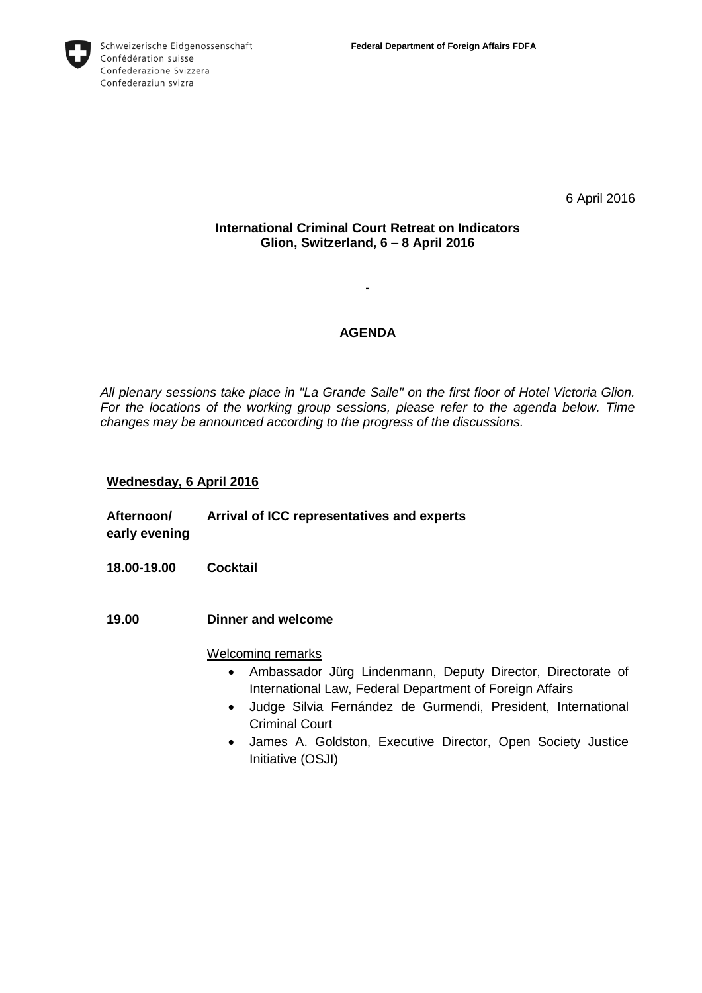

6 April 2016

# **International Criminal Court Retreat on Indicators Glion, Switzerland, 6 – 8 April 2016**

# **AGENDA**

**-**

*All plenary sessions take place in "La Grande Salle" on the first floor of Hotel Victoria Glion. For the locations of the working group sessions, please refer to the agenda below. Time changes may be announced according to the progress of the discussions.*

## **Wednesday, 6 April 2016**

- **Afternoon/ early evening Arrival of ICC representatives and experts 18.00-19.00 Cocktail 19.00 Dinner and welcome**  Welcoming remarks Ambassador Jürg Lindenmann, Deputy Director, Directorate of International Law, Federal Department of Foreign Affairs
	- Judge Silvia Fernández de Gurmendi, President, International Criminal Court
	- James A. Goldston, Executive Director, Open Society Justice Initiative (OSJI)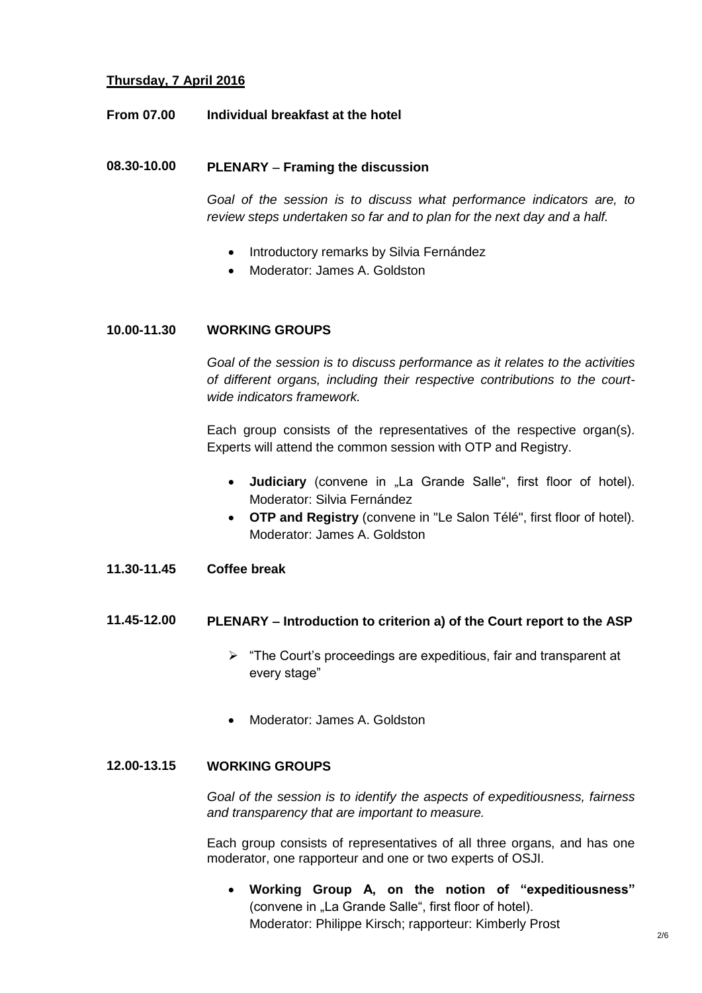# **Thursday, 7 April 2016**

### **From 07.00 Individual breakfast at the hotel**

### **08.30-10.00 PLENARY Framing the discussion**

*Goal of the session is to discuss what performance indicators are, to review steps undertaken so far and to plan for the next day and a half.*

- Introductory remarks by Silvia Fernández
- Moderator: James A. Goldston

### **10.00-11.30 WORKING GROUPS**

*Goal of the session is to discuss performance as it relates to the activities of different organs, including their respective contributions to the courtwide indicators framework.*

Each group consists of the representatives of the respective organ(s). Experts will attend the common session with OTP and Registry.

- **Judiciary** (convene in "La Grande Salle", first floor of hotel). Moderator: Silvia Fernández
- **OTP and Registry** (convene in "Le Salon Télé", first floor of hotel). Moderator: James A. Goldston

### **11.30-11.45 Coffee break**

# **11.45-12.00 PLENARY Introduction to criterion a) of the Court report to the ASP**

- $\triangleright$  "The Court's proceedings are expeditious, fair and transparent at every stage"
- Moderator: James A. Goldston

### **12.00-13.15 WORKING GROUPS**

*Goal of the session is to identify the aspects of expeditiousness, fairness and transparency that are important to measure.*

Each group consists of representatives of all three organs, and has one moderator, one rapporteur and one or two experts of OSJI.

 **Working Group A, on the notion of "expeditiousness"** (convene in "La Grande Salle", first floor of hotel). Moderator: Philippe Kirsch; rapporteur: Kimberly Prost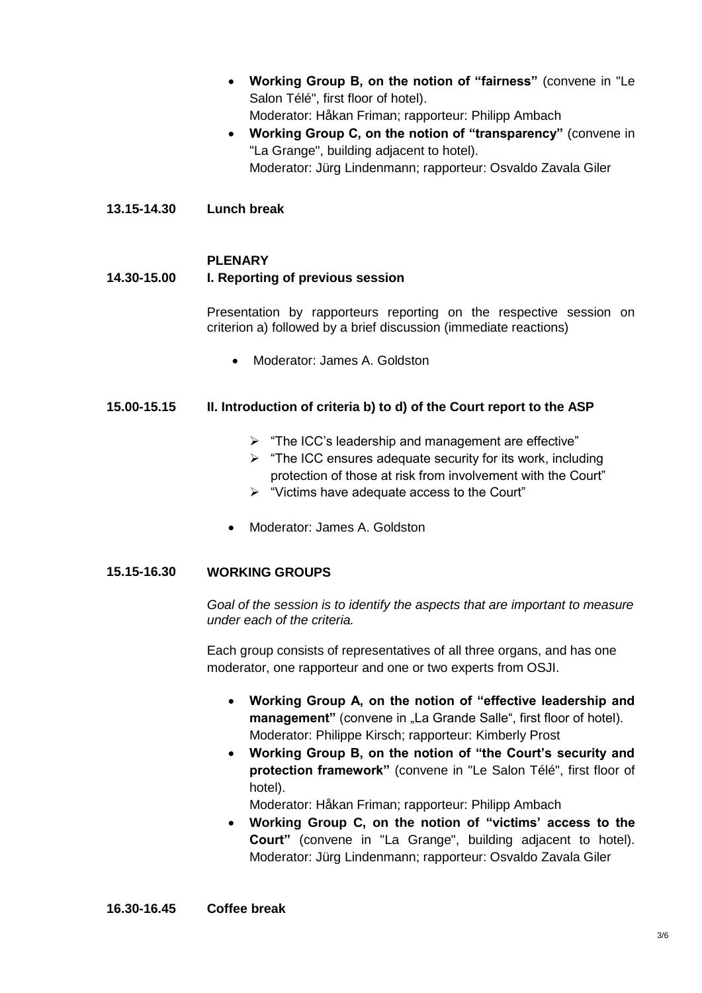- **Working Group B, on the notion of "fairness"** (convene in "Le Salon Télé", first floor of hotel). Moderator: Håkan Friman; rapporteur: Philipp Ambach
- **Working Group C, on the notion of "transparency"** (convene in "La Grange", building adjacent to hotel). Moderator: Jürg Lindenmann; rapporteur: Osvaldo Zavala Giler
- **13.15-14.30 Lunch break**

### **PLENARY**

#### **14.30-15.00 I. Reporting of previous session**

Presentation by rapporteurs reporting on the respective session on criterion a) followed by a brief discussion (immediate reactions)

Moderator: James A. Goldston

## **15.00-15.15 II. Introduction of criteria b) to d) of the Court report to the ASP**

- $\triangleright$  "The ICC's leadership and management are effective"
- $\triangleright$  "The ICC ensures adequate security for its work, including protection of those at risk from involvement with the Court"
- $\triangleright$  "Victims have adequate access to the Court"
- Moderator: James A. Goldston

## **15.15-16.30 WORKING GROUPS**

*Goal of the session is to identify the aspects that are important to measure under each of the criteria.* 

Each group consists of representatives of all three organs, and has one moderator, one rapporteur and one or two experts from OSJI.

- **Working Group A, on the notion of "effective leadership and management**" (convene in ...La Grande Salle", first floor of hotel). Moderator: Philippe Kirsch; rapporteur: Kimberly Prost
- **Working Group B, on the notion of "the Court's security and protection framework"** (convene in "Le Salon Télé", first floor of hotel).

Moderator: Håkan Friman; rapporteur: Philipp Ambach

 **Working Group C, on the notion of "victims' access to the Court"** (convene in "La Grange", building adjacent to hotel). Moderator: Jürg Lindenmann; rapporteur: Osvaldo Zavala Giler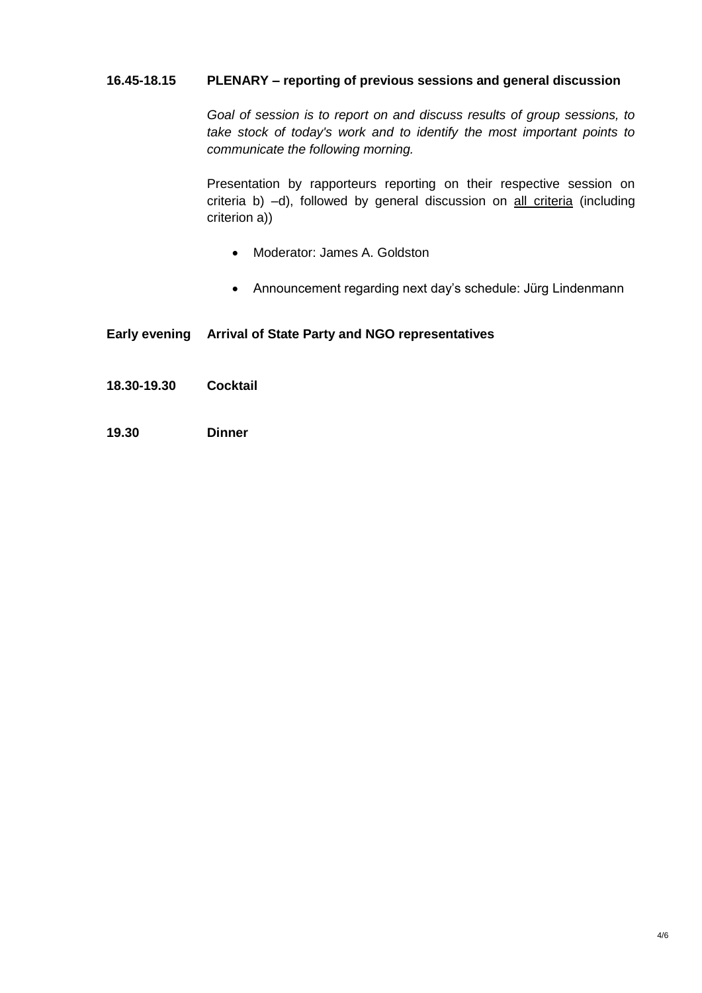## **16.45-18.15 PLENARY – reporting of previous sessions and general discussion**

*Goal of session is to report on and discuss results of group sessions, to take stock of today's work and to identify the most important points to communicate the following morning.*

Presentation by rapporteurs reporting on their respective session on criteria b) –d), followed by general discussion on all criteria (including criterion a))

- Moderator: James A. Goldston
- Announcement regarding next day's schedule: Jürg Lindenmann

## **Early evening Arrival of State Party and NGO representatives**

- **18.30-19.30 Cocktail**
- **19.30 Dinner**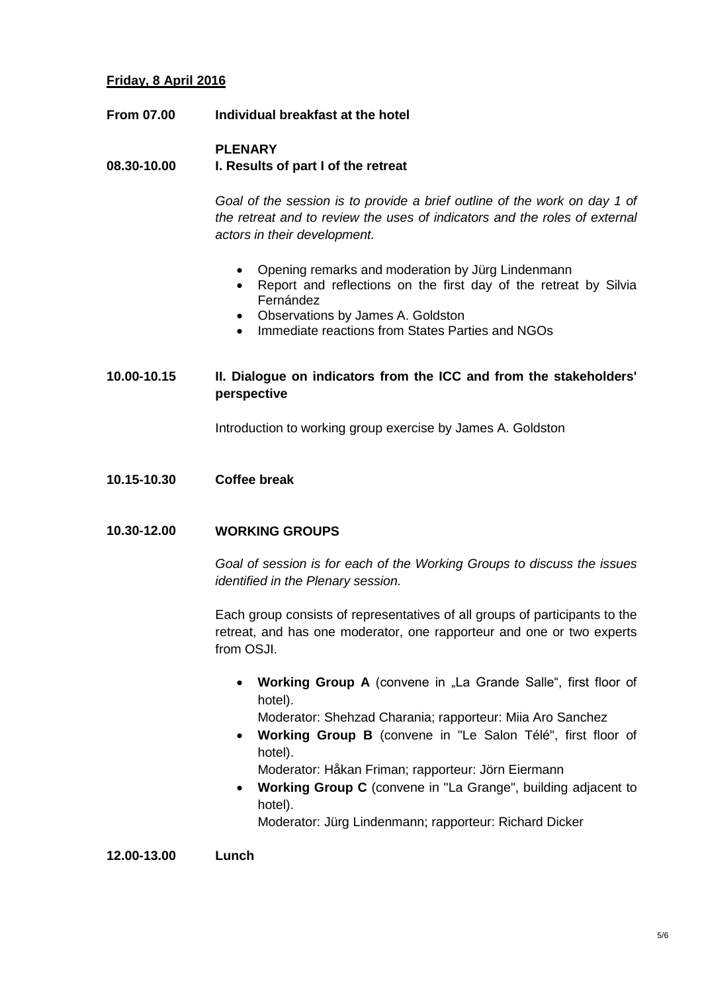# **Friday, 8 April 2016**

**From 07.00 Individual breakfast at the hotel**

#### **08.30-10.00 PLENARY I. Results of part I of the retreat**

*Goal of the session is to provide a brief outline of the work on day 1 of the retreat and to review the uses of indicators and the roles of external actors in their development.*

- Opening remarks and moderation by Jürg Lindenmann
- Report and reflections on the first day of the retreat by Silvia Fernández
- Observations by James A. Goldston
- Immediate reactions from States Parties and NGOs

# **10.00-10.15 II. Dialogue on indicators from the ICC and from the stakeholders' perspective**

Introduction to working group exercise by James A. Goldston

**10.15-10.30 Coffee break**

### **10.30-12.00 WORKING GROUPS**

*Goal of session is for each of the Working Groups to discuss the issues identified in the Plenary session.*

Each group consists of representatives of all groups of participants to the retreat, and has one moderator, one rapporteur and one or two experts from OSJI.

• Working Group A (convene in "La Grande Salle", first floor of hotel).

Moderator: Shehzad Charania; rapporteur: Miia Aro Sanchez

 **Working Group B** (convene in "Le Salon Télé", first floor of hotel).

Moderator: Håkan Friman; rapporteur: Jörn Eiermann

 **Working Group C** (convene in "La Grange", building adjacent to hotel).

Moderator: Jürg Lindenmann; rapporteur: Richard Dicker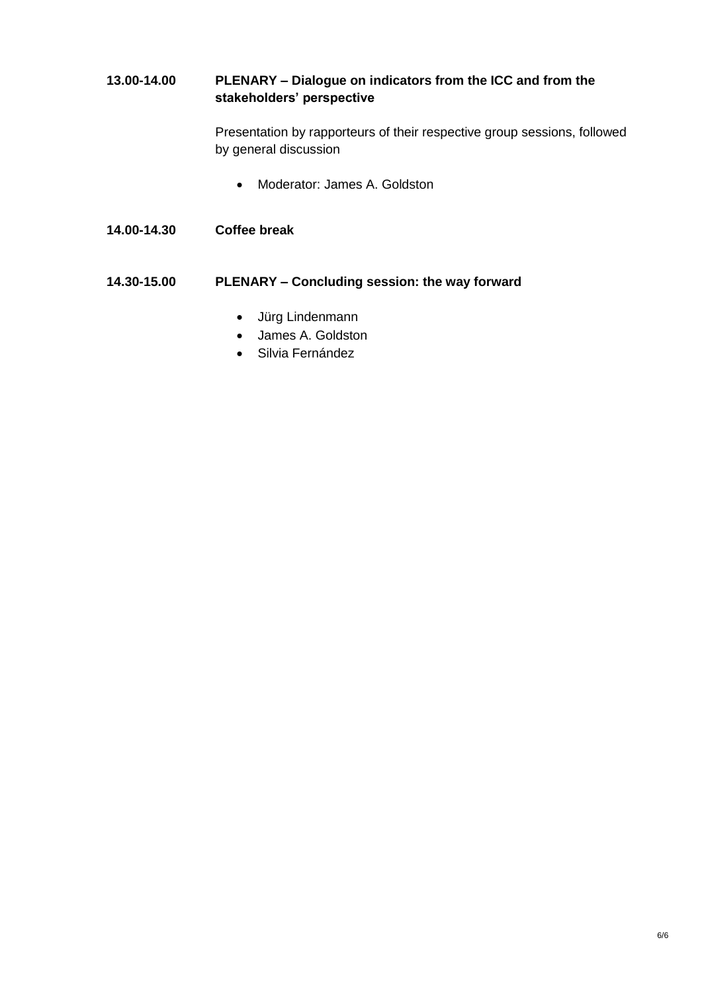# **13.00-14.00 PLENARY – Dialogue on indicators from the ICC and from the stakeholders' perspective**

Presentation by rapporteurs of their respective group sessions, followed by general discussion

- Moderator: James A. Goldston
- **14.00-14.30 Coffee break**

# **14.30-15.00 PLENARY – Concluding session: the way forward**

- Jürg Lindenmann
- James A. Goldston
- **•** Silvia Fernández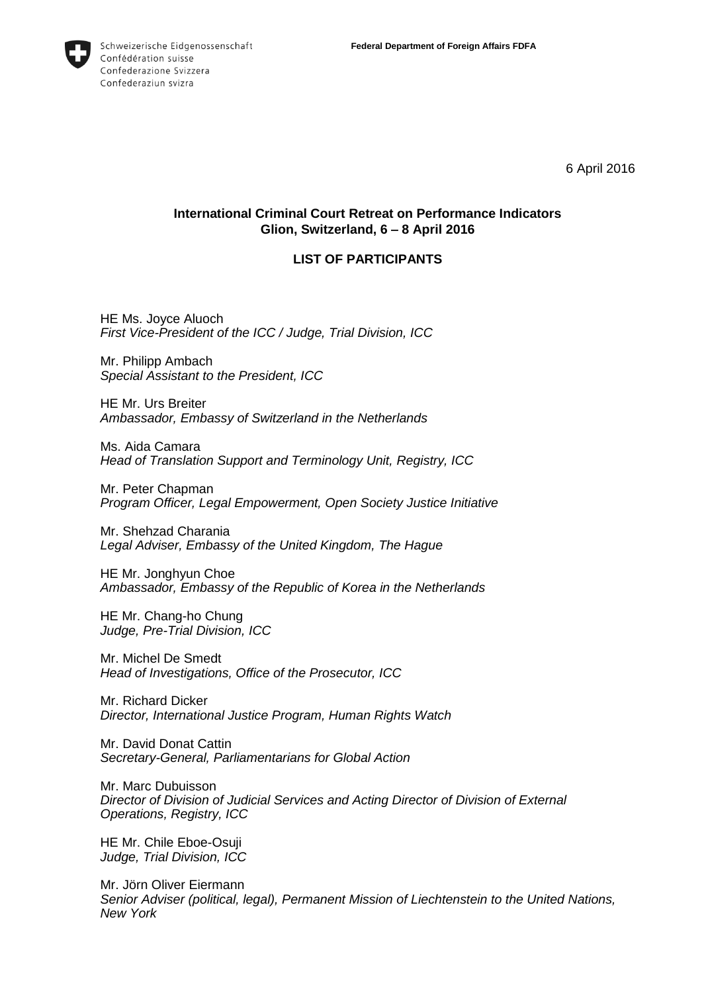

6 April 2016

# **International Criminal Court Retreat on Performance Indicators Glion, Switzerland, 6 8 April 2016**

### **LIST OF PARTICIPANTS**

HE Ms. Joyce Aluoch *First Vice-President of the ICC / Judge, Trial Division, ICC*

Mr. Philipp Ambach *Special Assistant to the President, ICC*

HE Mr. Urs Breiter *Ambassador, Embassy of Switzerland in the Netherlands*

Ms. Aida Camara *Head of Translation Support and Terminology Unit, Registry, ICC*

Mr. Peter Chapman *Program Officer, Legal Empowerment, Open Society Justice Initiative*

Mr. Shehzad Charania *Legal Adviser, Embassy of the United Kingdom, The Hague*

HE Mr. Jonghyun Choe *Ambassador, Embassy of the Republic of Korea in the Netherlands*

HE Mr. Chang-ho Chung *Judge, Pre-Trial Division, ICC*

Mr. Michel De Smedt *Head of Investigations, Office of the Prosecutor, ICC*

Mr. Richard Dicker *Director, International Justice Program, Human Rights Watch*

Mr. David Donat Cattin *Secretary-General, Parliamentarians for Global Action*

Mr. Marc Dubuisson *Director of Division of Judicial Services and Acting Director of Division of External Operations, Registry, ICC*

HE Mr. Chile Eboe-Osuji *Judge, Trial Division, ICC*

Mr. Jörn Oliver Eiermann *Senior Adviser (political, legal), Permanent Mission of Liechtenstein to the United Nations, New York*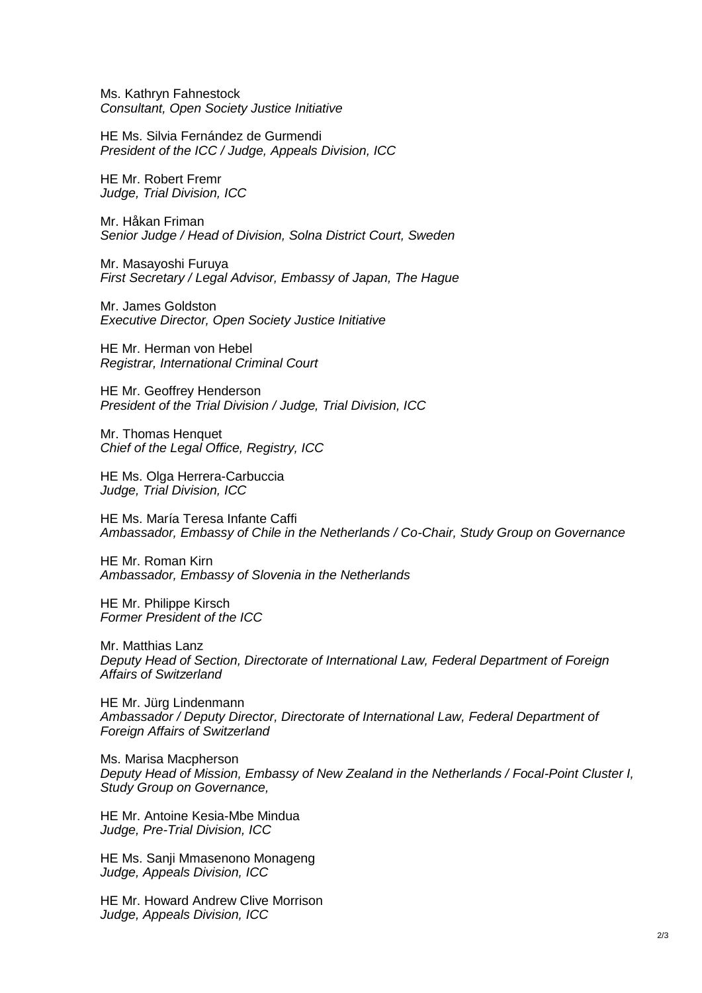Ms. Kathryn Fahnestock *Consultant, Open Society Justice Initiative*

HE Ms. Silvia Fernández de Gurmendi *President of the ICC / Judge, Appeals Division, ICC*

HE Mr. Robert Fremr *Judge, Trial Division, ICC*

Mr. Håkan Friman *Senior Judge / Head of Division, Solna District Court, Sweden*

Mr. Masayoshi Furuya *First Secretary / Legal Advisor, Embassy of Japan, The Hague*

Mr. James Goldston *Executive Director, Open Society Justice Initiative*

HE Mr. Herman von Hebel *Registrar, International Criminal Court*

HE Mr. Geoffrey Henderson *President of the Trial Division / Judge, Trial Division, ICC*

Mr. Thomas Henquet *Chief of the Legal Office, Registry, ICC*

HE Ms. Olga Herrera-Carbuccia *Judge, Trial Division, ICC*

HE Ms. María Teresa Infante Caffi *Ambassador, Embassy of Chile in the Netherlands / Co-Chair, Study Group on Governance*

HE Mr. Roman Kirn *Ambassador, Embassy of Slovenia in the Netherlands*

HE Mr. Philippe Kirsch *Former President of the ICC*

Mr. Matthias Lanz *Deputy Head of Section, Directorate of International Law, Federal Department of Foreign Affairs of Switzerland*

HE Mr. Jürg Lindenmann *Ambassador / Deputy Director, Directorate of International Law, Federal Department of Foreign Affairs of Switzerland*

Ms. Marisa Macpherson *Deputy Head of Mission, Embassy of New Zealand in the Netherlands / Focal-Point Cluster I, Study Group on Governance,* 

HE Mr. Antoine Kesia-Mbe Mindua *Judge, Pre-Trial Division, ICC*

HE Ms. Sanji Mmasenono Monageng *Judge, Appeals Division, ICC*

HE Mr. Howard Andrew Clive Morrison *Judge, Appeals Division, ICC*